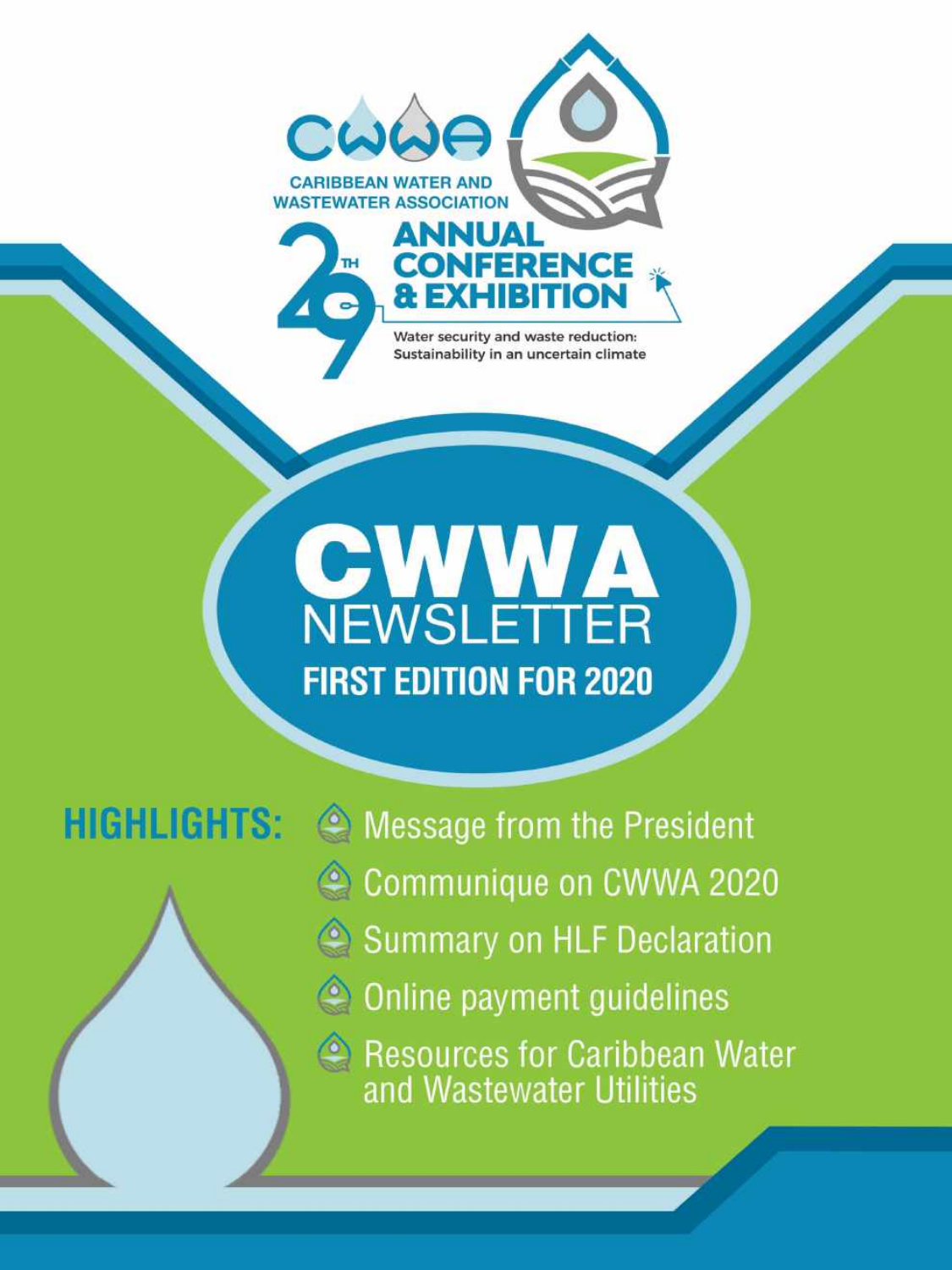

Water security and waste reduction: Sustainability in an uncertain climate

# **CEWSLETTER FIRST EDITION FOR 2020**

### **HIGHLIGHTS:**

• Message from the President Communique on CWWA 2020 Summary on HLF Declaration © Online payment guidelines Resources for Caribbean Water<br>and Wastewater Utilities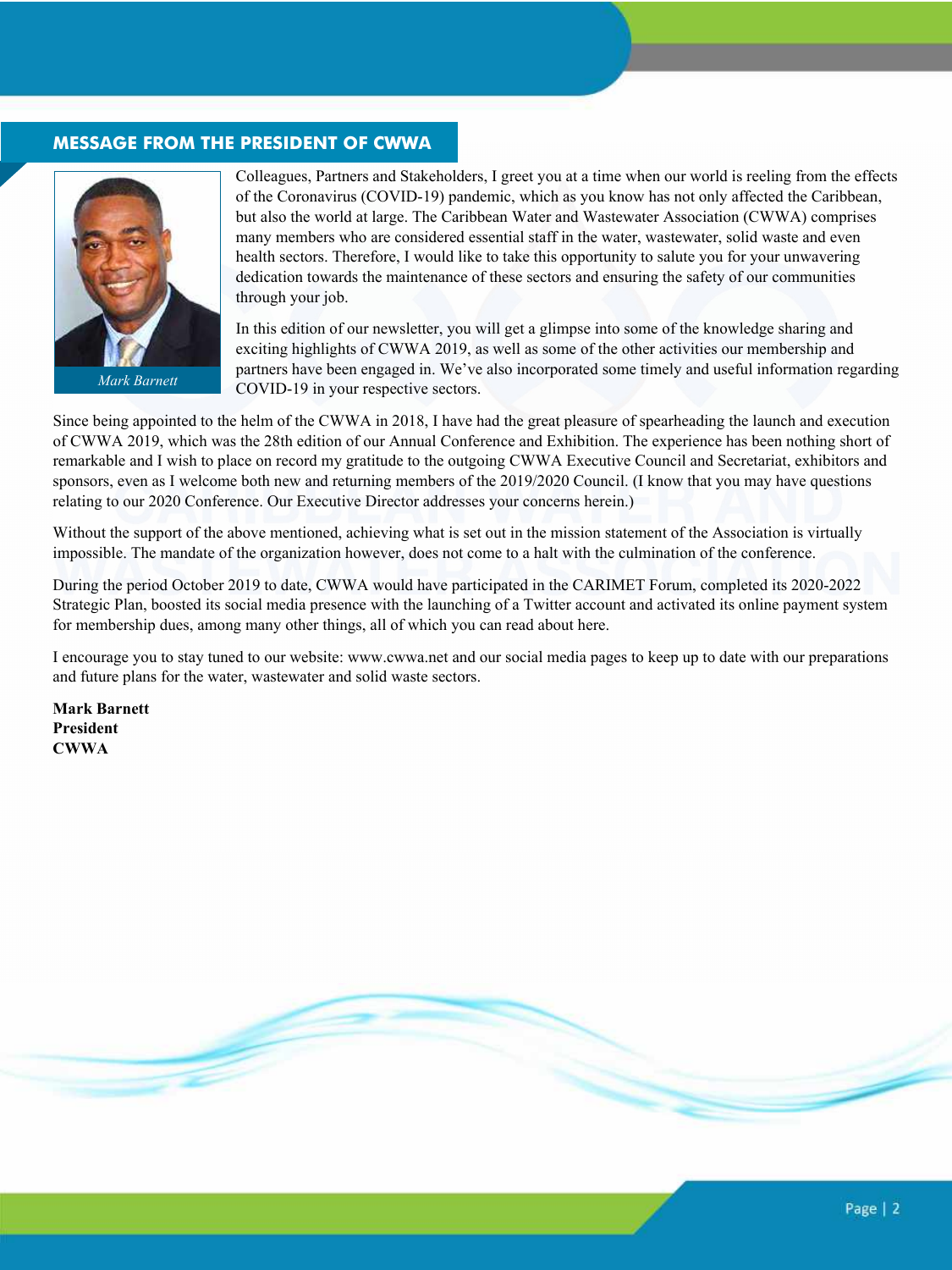### **MESSAGE FROM THE PRESIDENT OF CWWA**



*Mark Barnett*

Colleagues, Partners and Stakeholders, I greet you at a time when our world is reeling from the effects of the Coronavirus (COVID-19) pandemic, which as you know has not only affected the Caribbean, but also the world at large. The Caribbean Water and Wastewater Association (CWWA) comprises many members who are considered essential staff in the water, wastewater, solid waste and even health sectors. Therefore, I would like to take this opportunity to salute you for your unwavering dedication towards the maintenance of these sectors and ensuring the safety of our communities through your job.

In this edition of our newsletter, you will get a glimpse into some of the knowledge sharing and exciting highlights of CWWA 2019, as well as some of the other activities our membership and partners have been engaged in. We've also incorporated some timely and useful information regarding COVID-19 in your respective sectors.

Since being appointed to the helm of the CWWA in 2018, I have had the great pleasure of spearheading the launch and execution of CWWA 2019, which was the 28th edition of our Annual Conference and Exhibition. The experience has been nothing short of remarkable and I wish to place on record my gratitude to the outgoing CWWA Executive Council and Secretariat, exhibitors and sponsors, even as I welcome both new and returning members of the 2019/2020 Council. (I know that you may have questions relating to our 2020 Conference. Our Executive Director addresses your concerns herein.)

Without the support of the above mentioned, achieving what is set out in the mission statement of the Association is virtually impossible. The mandate of the organization however, does not come to a halt with the culmination of the conference.

During the period October 2019 to date, CWWA would have participated in the CARIMET Forum, completed its 2020-2022 Strategic Plan, boosted its social media presence with the launching of a Twitter account and activated its online payment system for membership dues, among many other things, all of which you can read about here.

I encourage you to stay tuned to our website: www.cwwa.net and our social media pages to keep up to date with our preparations and future plans for the water, wastewater and solid waste sectors.

**Mark Barnett President CWWA**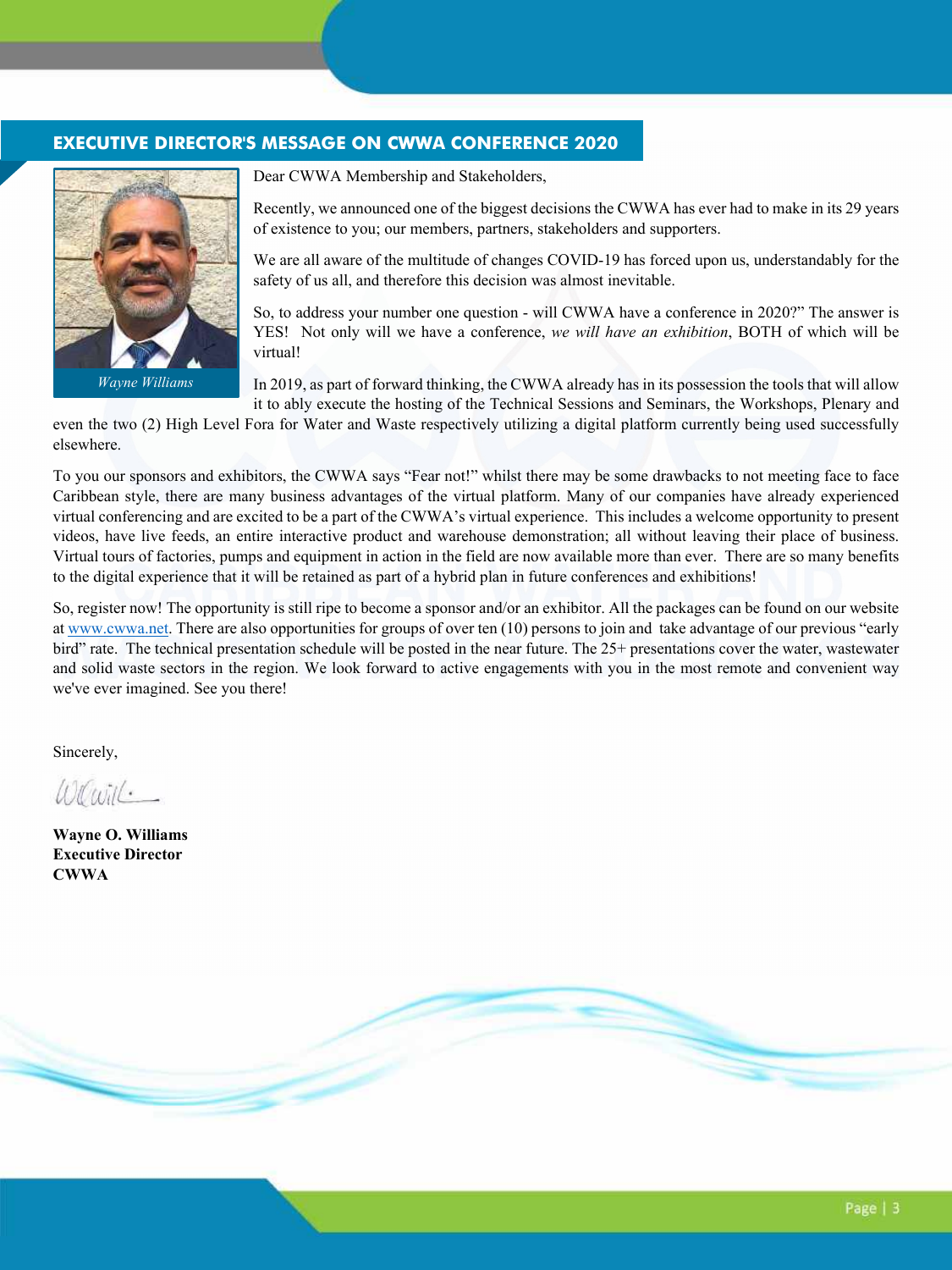#### **EXECUTIVE DIRECTOR'S MESSAGE ON CWWA CONFERENCE 2020**



*Wayne Williams* 

Dear CWWA Membership and Stakeholders,

Recently, we announced one of the biggest decisions the CWWA has ever had to make in its 29 years of existence to you; our members, partners, stakeholders and supporters.

We are all aware of the multitude of changes COVID-19 has forced upon us, understandably for the safety of us all, and therefore this decision was almost inevitable.

So, to address your number one question - will CWWA have a conference in 2020?" The answer is YES! Not only will we have a conference, *we will have an exhibition*, BOTH of which will be virtual!

In 2019, as part of forward thinking, the CWWA already has in its possession the tools that will allow it to ably execute the hosting of the Technical Sessions and Seminars, the Workshops, Plenary and

even the two (2) High Level Fora for Water and Waste respectively utilizing a digital platform currently being used successfully elsewhere.

To you our sponsors and exhibitors, the CWWA says "Fear not!" whilst there may be some drawbacks to not meeting face to face Caribbean style, there are many business advantages of the virtual platform. Many of our companies have already experienced virtual conferencing and are excited to be a part of the CWWA's virtual experience. This includes a welcome opportunity to present videos, have live feeds, an entire interactive product and warehouse demonstration; all without leaving their place of business. Virtual tours of factories, pumps and equipment in action in the field are now available more than ever. There are so many benefits to the digital experience that it will be retained as part of a hybrid plan in future conferences and exhibitions!

So, register now! The opportunity is still ripe to become a sponsor and/or an exhibitor. All the packages can be found on our website at www.cwwa.net. There are also opportunities for groups of over ten (10) persons to join and take advantage of our previous "early bird" rate. The technical presentation schedule will be posted in the near future. The 25+ presentations cover the water, wastewater and solid waste sectors in the region. We look forward to active engagements with you in the most remote and convenient way we've ever imagined. See you there!

Sincerely,

 $W \times \cdots$ 

**Wayne O. Williams Executive Director CWWA** 

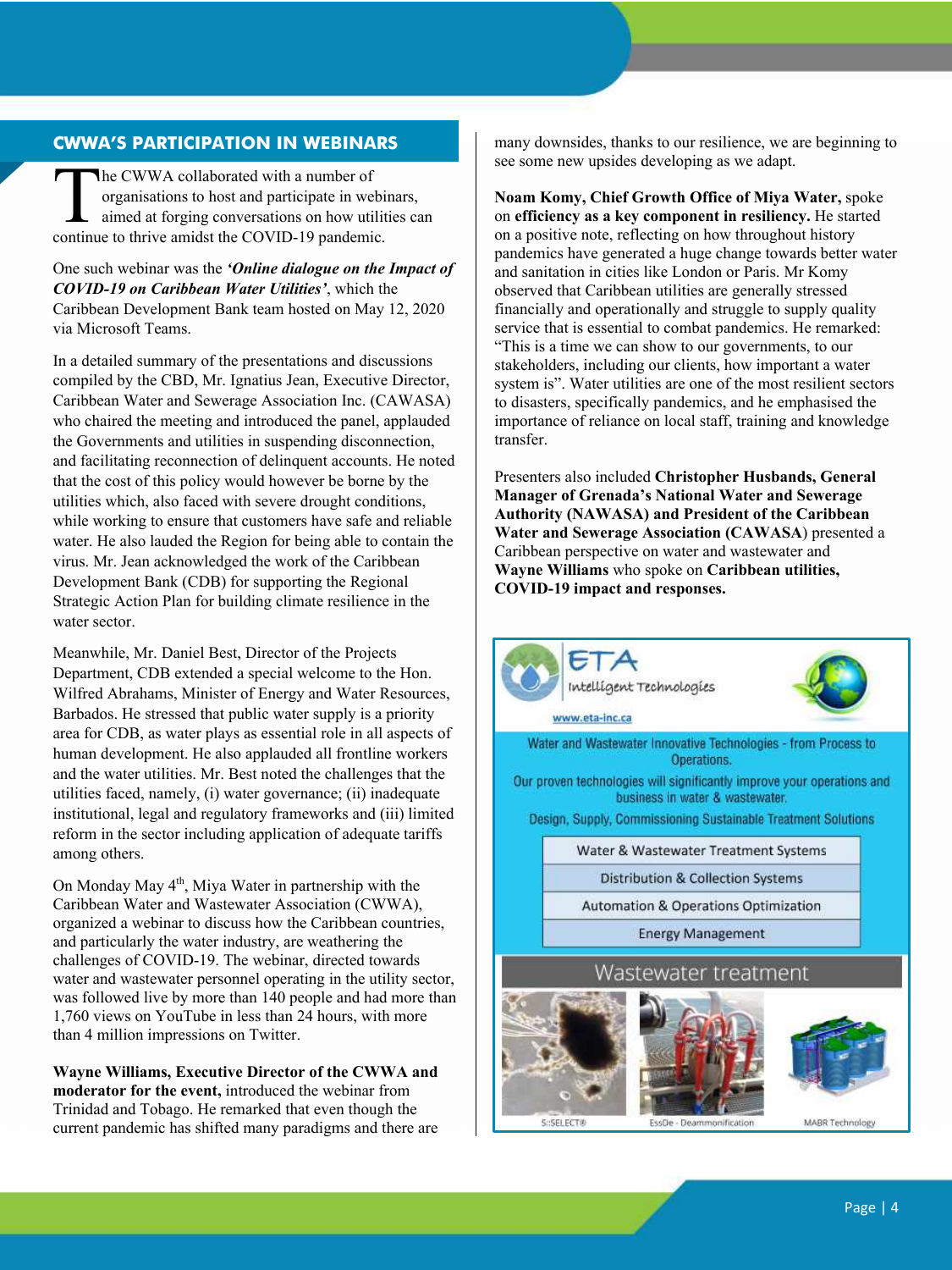### **CWWA'S PARTICIPATION IN WEBINARS**

he CWWA collaborated with a number of organisations to host and participate in webinars, aimed at forging conversations on how utilities can The CWWA collaborated with a number of organisations to host and participate in webin<br>aimed at forging conversations on how utilit<br>continue to thrive amidst the COVID-19 pandemic.

One such webinar was the *'Online dialogue on the Impact of COVID-19 on Caribbean Water Utilities'*, which the Caribbean Development Bank team hosted on May 12, 2020 via Microsoft Teams.

In a detailed summary of the presentations and discussions compiled by the CBD, Mr. Ignatius Jean, Executive Director, Caribbean Water and Sewerage Association Inc. (CAWASA) who chaired the meeting and introduced the panel, applauded the Governments and utilities in suspending disconnection, and facilitating reconnection of delinquent accounts. He noted that the cost of this policy would however be borne by the utilities which, also faced with severe drought conditions, while working to ensure that customers have safe and reliable water. He also lauded the Region for being able to contain the virus. Mr. Jean acknowledged the work of the Caribbean Development Bank (CDB) for supporting the Regional Strategic Action Plan for building climate resilience in the water sector.

Meanwhile, Mr. Daniel Best, Director of the Projects Department, CDB extended a special welcome to the Hon. Wilfred Abrahams, Minister of Energy and Water Resources, Barbados. He stressed that public water supply is a priority area for CDB, as water plays as essential role in all aspects of human development. He also applauded all frontline workers and the water utilities. Mr. Best noted the challenges that the utilities faced, namely, (i) water governance; (ii) inadequate institutional, legal and regulatory frameworks and (iii) limited reform in the sector including application of adequate tariffs among others.

On Monday May 4<sup>th</sup>, Miya Water in partnership with the Caribbean Water and Wastewater Association (CWWA), organized a webinar to discuss how the Caribbean countries, and particularly the water industry, are weathering the challenges of COVID-19. The webinar, directed towards water and wastewater personnel operating in the utility sector, was followed live by more than 140 people and had more than 1,760 views on YouTube in less than 24 hours, with more than 4 million impressions on Twitter.

**Wayne Williams, Executive Director of the CWWA and moderator for the event,** introduced the webinar from Trinidad and Tobago. He remarked that even though the current pandemic has shifted many paradigms and there are many downsides, thanks to our resilience, we are beginning to see some new upsides developing as we adapt.

**Noam Komy, Chief Growth Office of Miya Water,** spoke on **efficiency as a key component in resiliency.** He started on a positive note, reflecting on how throughout history pandemics have generated a huge change towards better water and sanitation in cities like London or Paris. Mr Komy observed that Caribbean utilities are generally stressed financially and operationally and struggle to supply quality service that is essential to combat pandemics. He remarked: "This is a time we can show to our governments, to our stakeholders, including our clients, how important a water system is". Water utilities are one of the most resilient sectors to disasters, specifically pandemics, and he emphasised the importance of reliance on local staff, training and knowledge transfer.

Presenters also included **Christopher Husbands, General Manager of Grenada's National Water and Sewerage Authority (NAWASA) and President of the Caribbean Water and Sewerage Association (CAWASA**) presented a Caribbean perspective on water and wastewater and **Wayne Williams** who spoke on **Caribbean utilities, COVID-19 impact and responses.**



SHSELECT®

MABR Technology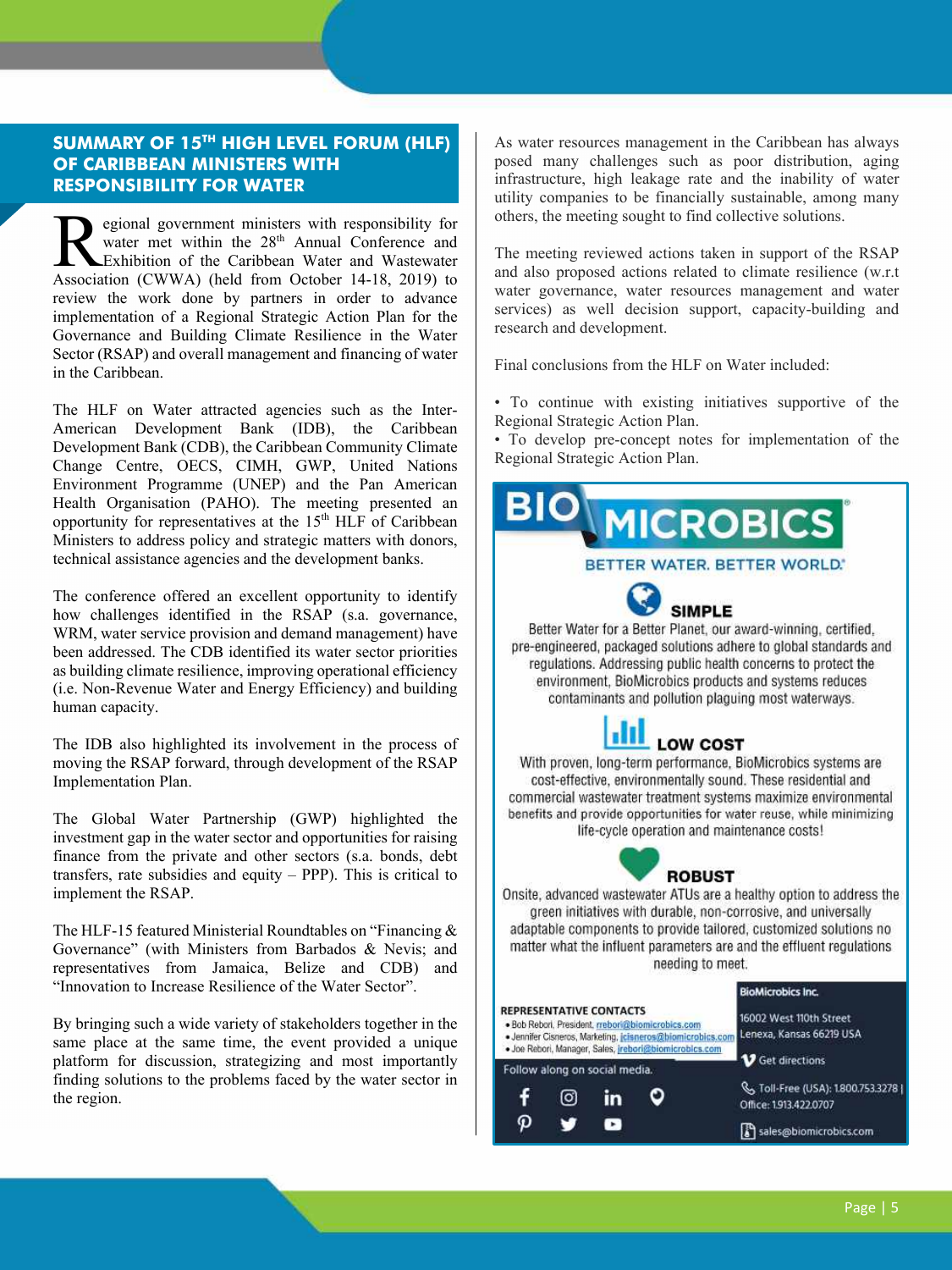### **SUMMARY OF 15TH HIGH LEVEL FORUM (HLF) OF CARIBBEAN MINISTERS WITH RESPONSIBILITY FOR WATER**

egional government ministers with responsibility for water met within the 28<sup>th</sup> Annual Conference and Exhibition of the Caribbean Water and Wastewater egional government ministers with responsibility for<br>
water met within the 28<sup>th</sup> Annual Conference and<br>
Exhibition of the Caribbean Water and Wastewater<br>
Association (CWWA) (held from October 14-18, 2019) to review the work done by partners in order to advance implementation of a Regional Strategic Action Plan for the Governance and Building Climate Resilience in the Water Sector (RSAP) and overall management and financing of water in the Caribbean.

The HLF on Water attracted agencies such as the Inter-American Development Bank (IDB), the Caribbean Development Bank (CDB), the Caribbean Community Climate Change Centre, OECS, CIMH, GWP, United Nations Environment Programme (UNEP) and the Pan American Health Organisation (PAHO). The meeting presented an opportunity for representatives at the  $15<sup>th</sup> HLF$  of Caribbean Ministers to address policy and strategic matters with donors, technical assistance agencies and the development banks.

The conference offered an excellent opportunity to identify how challenges identified in the RSAP (s.a. governance, WRM, water service provision and demand management) have been addressed. The CDB identified its water sector priorities as building climate resilience, improving operational efficiency (i.e. Non-Revenue Water and Energy Efficiency) and building human capacity.

The IDB also highlighted its involvement in the process of moving the RSAP forward, through development of the RSAP Implementation Plan.

The Global Water Partnership (GWP) highlighted the investment gap in the water sector and opportunities for raising finance from the private and other sectors (s.a. bonds, debt transfers, rate subsidies and equity  $-$  PPP). This is critical to implement the RSAP.

The HLF-15 featured Ministerial Roundtables on "Financing & Governance" (with Ministers from Barbados & Nevis; and representatives from Jamaica, Belize and CDB) and "Innovation to Increase Resilience of the Water Sector".

By bringing such a wide variety of stakeholders together in the same place at the same time, the event provided a unique platform for discussion, strategizing and most importantly finding solutions to the problems faced by the water sector in the region.

As water resources management in the Caribbean has always posed many challenges such as poor distribution, aging infrastructure, high leakage rate and the inability of water utility companies to be financially sustainable, among many others, the meeting sought to find collective solutions.

The meeting reviewed actions taken in support of the RSAP and also proposed actions related to climate resilience (w.r.t water governance, water resources management and water services) as well decision support, capacity-building and research and development.

Final conclusions from the HLF on Water included:

• To continue with existing initiatives supportive of the Regional Strategic Action Plan.

• To develop pre-concept notes for implementation of the Regional Strategic Action Plan.

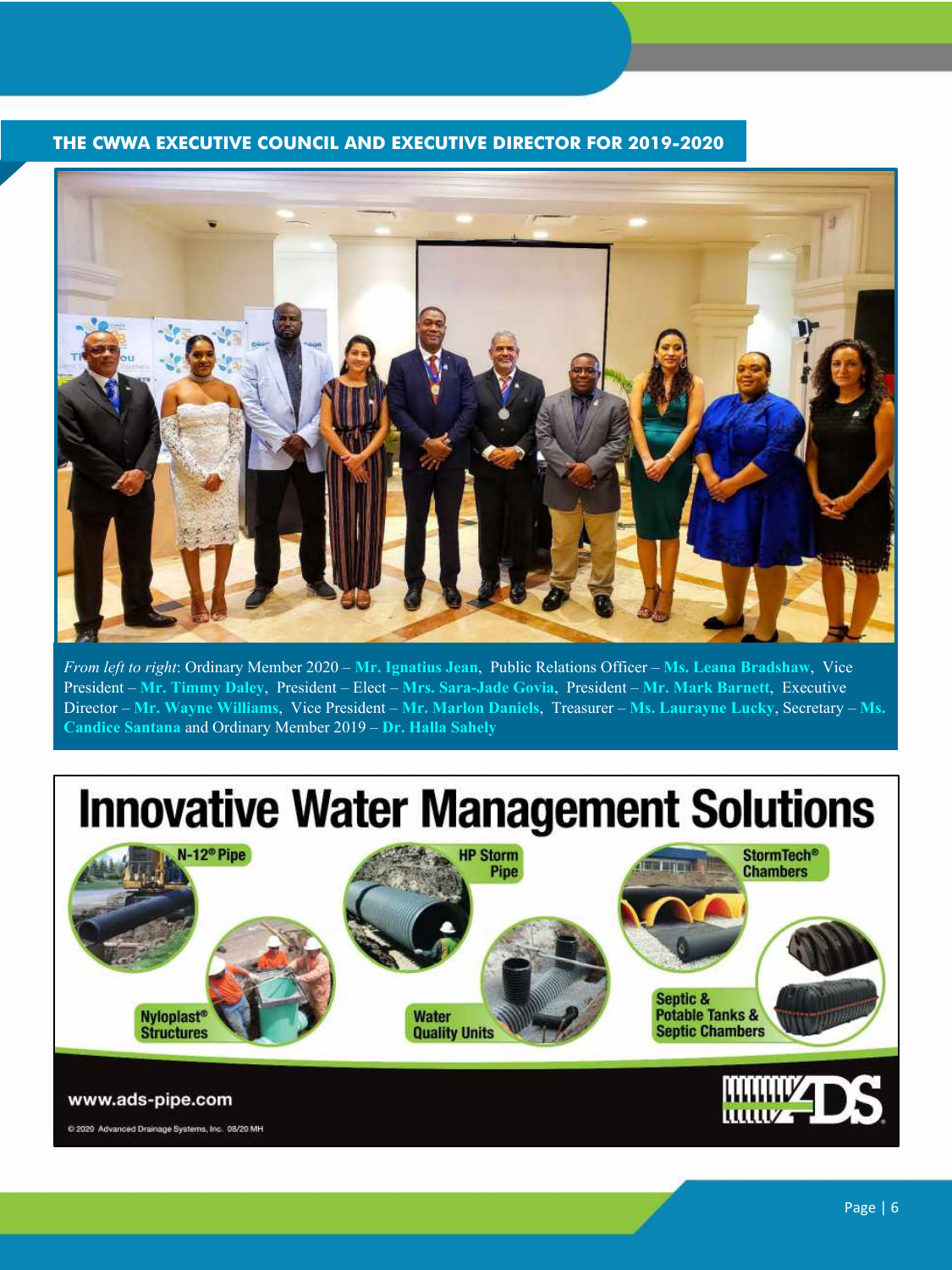### **THE CWWA EXECUTIVE COUNCIL AND EXECUTIVE DIRECTOR FOR 2019-2020**



*From left to right*: Ordinary Member 2020 – **Mr. Ignatius Jean**, Public Relations Officer – **Ms. Leana Bradshaw**, Vice President – **Mr. Timmy Daley**, President – Elect – **Mrs. Sara-Jade Govia**, President – **Mr. Mark Barnett**, Executive Director – **Mr. Wayne Williams**, Vice President – **Mr. Marlon Daniels**, Treasurer – **Ms. Laurayne Lucky**, Secretary – **Ms. Candice Santana** and Ordinary Member 2019 – **Dr. Halla Sahely**

## **Innovative Water Management Solutions**





@ 2020 Advanced Drainage Systems, Inc. 08/20 MH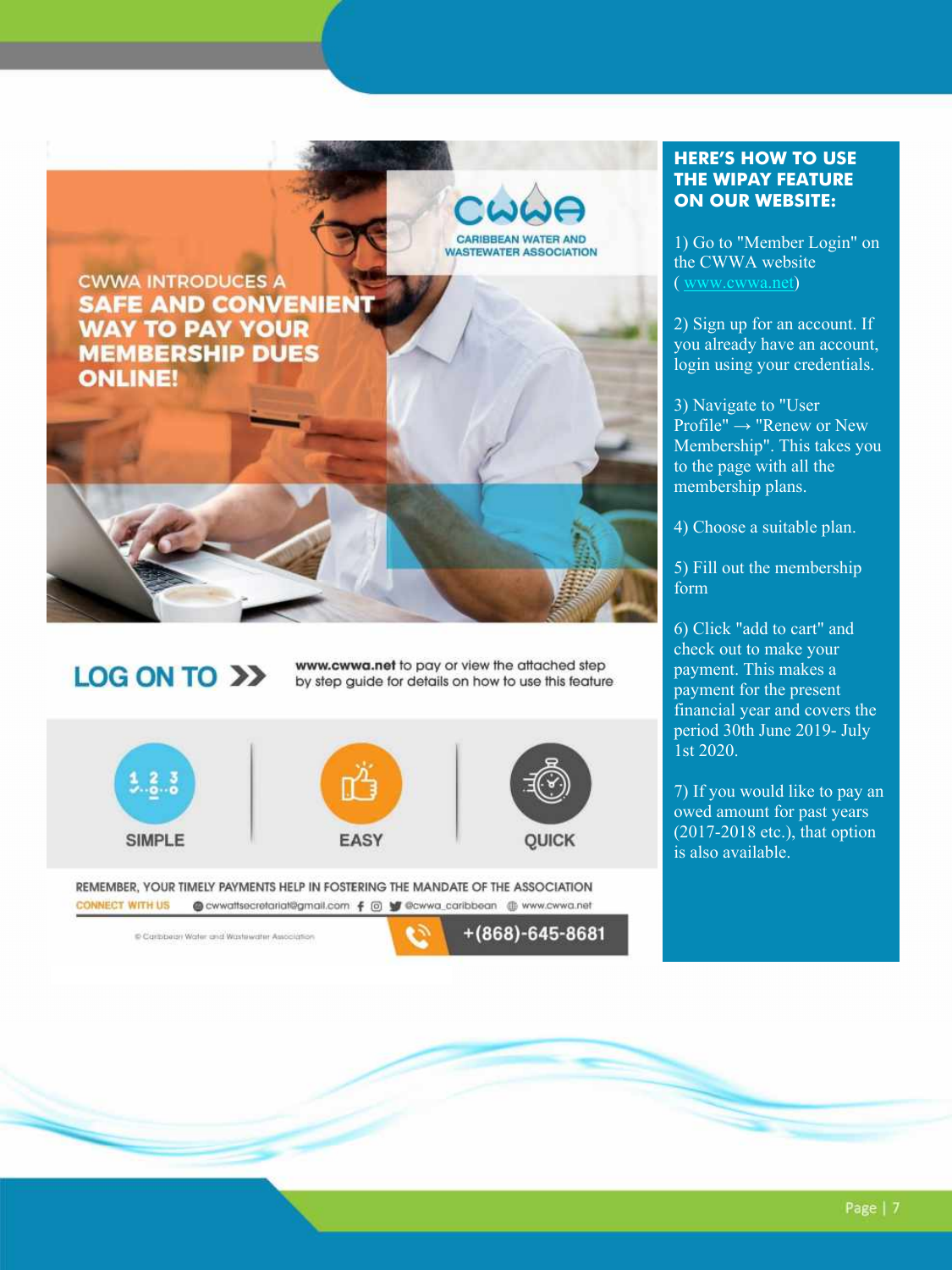

### **LOG ON TO >>**

www.cwwa.net to pay or view the attached step by step guide for details on how to use this feature







REMEMBER, YOUR TIMELY PAYMENTS HELP IN FOSTERING THE MANDATE OF THE ASSOCIATION **CONNECT WITH US** @ cwwattsecretariat@gmail.com f @ \@ @cwwa\_caribbean @ www.cwwa.net

Caribbean Water and Wastewater Association

 $+(868)-645-8681$ 

### **HERE'S HOW TO USE THE WIPAY FEATURE ON OUR WEBSITE:**

1) Go to "Member Login" on the CWWA website ( www.cwwa.net)

2) Sign up for an account. If you already have an account, login using your credentials.

3) Navigate to "User Profile" → "Renew or New Membership". This takes you to the page with all the membership plans.

4) Choose a suitable plan.

5) Fill out the membership form

6) Click "add to cart" and check out to make your payment. This makes a payment for the present financial year and covers the period 30th June 2019- July 1st 2020.

7) If you would like to pay an owed amount for past years (2017-2018 etc.), that option is also available.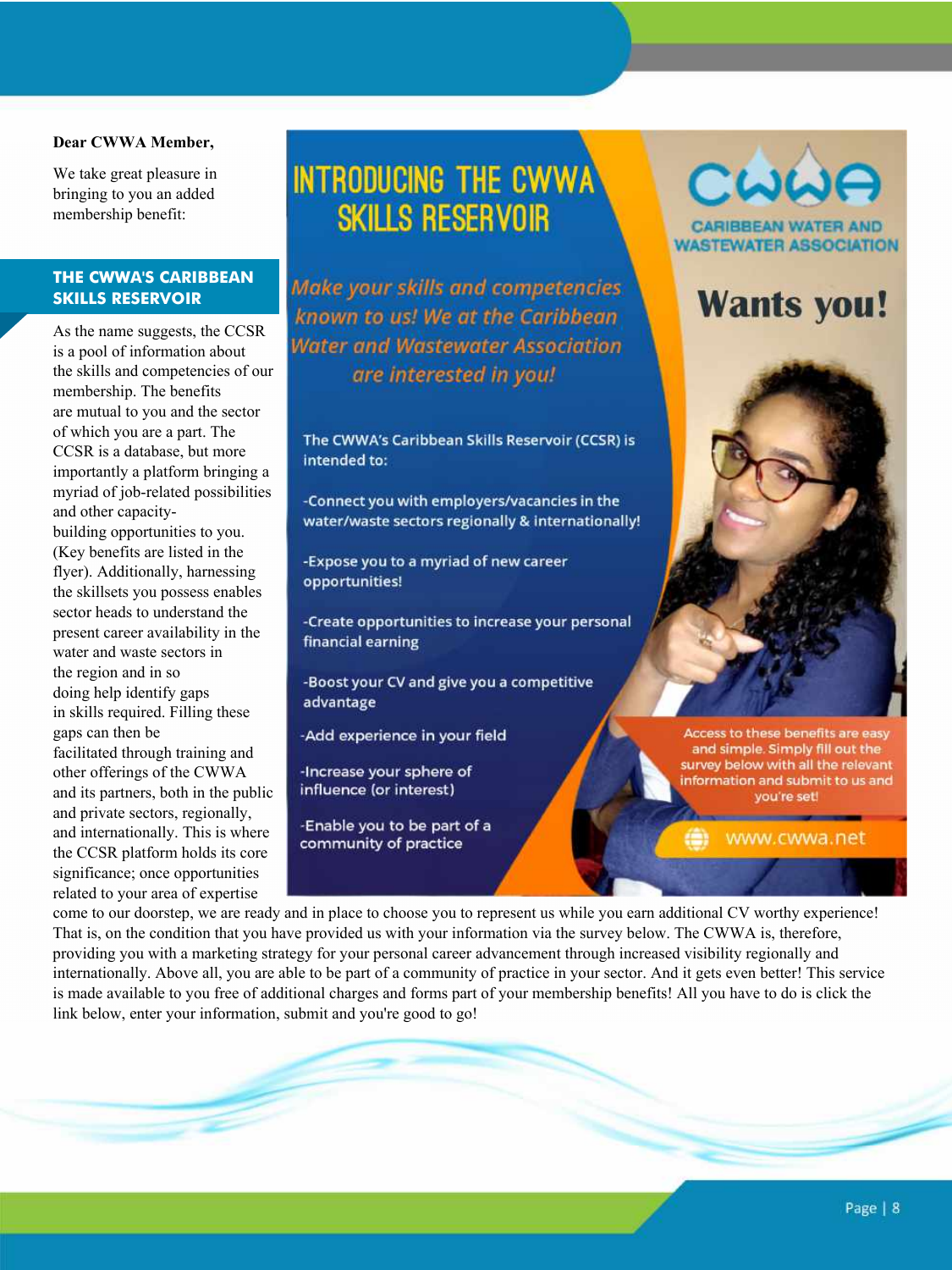#### **Dear CWWA Member,**

We take great pleasure in bringing to you an added membership benefit:

#### **THE CWWA'S CARIBBEAN SKILLS RESERVOIR**

As the name suggests, the CCSR is a pool of information about the skills and competencies of our membership. The benefits are mutual to you and the sector of which you are a part. The CCSR is a database, but more importantly a platform bringing a myriad of job-related possibilities and other capacity-

building opportunities to you. (Key benefits are listed in the flyer). Additionally, harnessing the skillsets you possess enables sector heads to understand the present career availability in the water and waste sectors in the region and in so doing help identify gaps in skills required. Filling these gaps can then be facilitated through training and other offerings of the CWWA and its partners, both in the public and private sectors, regionally, and internationally. This is where the CCSR platform holds its core significance; once opportunities related to your area of expertise

### **INTRODUCING THE CWWA SKILLS RESERVOIR**

Make your skills and competencies known to us! We at the Caribbean Water and Wastewater Association are interested in you!

The CWWA's Caribbean Skills Reservoir (CCSR) is intended to:

-Connect you with employers/vacancies in the water/waste sectors regionally & internationally!

-Expose you to a myriad of new career opportunities!

-Create opportunities to increase your personal financial earning

-Boost your CV and give you a competitive advantage

-Add experience in your field

-Increase your sphere of influence (or interest)

-Enable you to be part of a community of practice

# CWWA

**ASTEWATER ASSOCIATION** 

### **Wants you!**



Access to these benefits are easy and simple. Simply fill out the survey below with all the relevant information and submit to us and you're set!

www.cwwa.net

come to our doorstep, we are ready and in place to choose you to represent us while you earn additional CV worthy experience! That is, on the condition that you have provided us with your information via the survey below. The CWWA is, therefore, providing you with a marketing strategy for your personal career advancement through increased visibility regionally and internationally. Above all, you are able to be part of a community of practice in your sector. And it gets even better! This service is made available to you free of additional charges and forms part of your membership benefits! All you have to do is click the link below, enter your information, submit and you're good to go!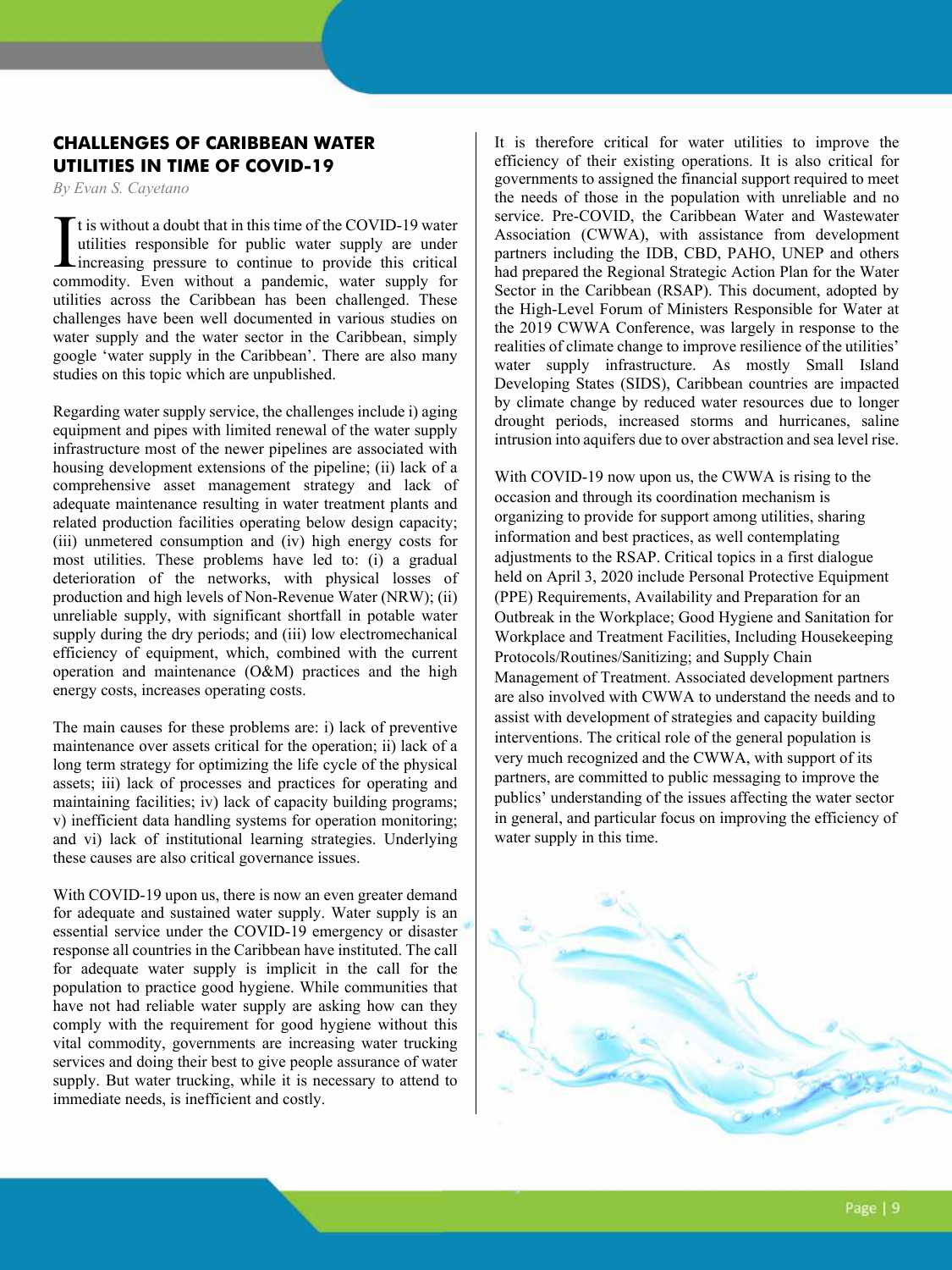### **CHALLENGES OF CARIBBEAN WATER UTILITIES IN TIME OF COVID-19**

*By Evan S. Cayetano* 

It is without a doubt that in this time of the COVID-19 water utilities responsible for public water supply are under increasing pressure to continue to provide this critical It is without a doubt that in this time of the COVID-19 water<br>utilities responsible for public water supply are under<br>increasing pressure to continue to provide this critical<br>commodity. Even without a pandemic, water suppl utilities across the Caribbean has been challenged. These challenges have been well documented in various studies on water supply and the water sector in the Caribbean, simply google 'water supply in the Caribbean'. There are also many studies on this topic which are unpublished.

Regarding water supply service, the challenges include i) aging equipment and pipes with limited renewal of the water supply infrastructure most of the newer pipelines are associated with housing development extensions of the pipeline; (ii) lack of a comprehensive asset management strategy and lack of adequate maintenance resulting in water treatment plants and related production facilities operating below design capacity; (iii) unmetered consumption and (iv) high energy costs for most utilities. These problems have led to: (i) a gradual deterioration of the networks, with physical losses of production and high levels of Non-Revenue Water (NRW); (ii) unreliable supply, with significant shortfall in potable water supply during the dry periods; and (iii) low electromechanical efficiency of equipment, which, combined with the current operation and maintenance (O&M) practices and the high energy costs, increases operating costs.

The main causes for these problems are: i) lack of preventive maintenance over assets critical for the operation; ii) lack of a long term strategy for optimizing the life cycle of the physical assets; iii) lack of processes and practices for operating and maintaining facilities; iv) lack of capacity building programs; v) inefficient data handling systems for operation monitoring; and vi) lack of institutional learning strategies. Underlying these causes are also critical governance issues.

With COVID-19 upon us, there is now an even greater demand for adequate and sustained water supply. Water supply is an essential service under the COVID-19 emergency or disaster response all countries in the Caribbean have instituted. The call for adequate water supply is implicit in the call for the population to practice good hygiene. While communities that have not had reliable water supply are asking how can they comply with the requirement for good hygiene without this vital commodity, governments are increasing water trucking services and doing their best to give people assurance of water supply. But water trucking, while it is necessary to attend to immediate needs, is inefficient and costly.

It is therefore critical for water utilities to improve the efficiency of their existing operations. It is also critical for governments to assigned the financial support required to meet the needs of those in the population with unreliable and no service. Pre-COVID, the Caribbean Water and Wastewater Association (CWWA), with assistance from development partners including the IDB, CBD, PAHO, UNEP and others had prepared the Regional Strategic Action Plan for the Water Sector in the Caribbean (RSAP). This document, adopted by the High-Level Forum of Ministers Responsible for Water at the 2019 CWWA Conference, was largely in response to the realities of climate change to improve resilience of the utilities' water supply infrastructure. As mostly Small Island Developing States (SIDS), Caribbean countries are impacted by climate change by reduced water resources due to longer drought periods, increased storms and hurricanes, saline intrusion into aquifers due to over abstraction and sea level rise.

With COVID-19 now upon us, the CWWA is rising to the occasion and through its coordination mechanism is organizing to provide for support among utilities, sharing information and best practices, as well contemplating adjustments to the RSAP. Critical topics in a first dialogue held on April 3, 2020 include Personal Protective Equipment (PPE) Requirements, Availability and Preparation for an Outbreak in the Workplace; Good Hygiene and Sanitation for Workplace and Treatment Facilities, Including Housekeeping Protocols/Routines/Sanitizing; and Supply Chain Management of Treatment. Associated development partners are also involved with CWWA to understand the needs and to assist with development of strategies and capacity building interventions. The critical role of the general population is very much recognized and the CWWA, with support of its partners, are committed to public messaging to improve the publics' understanding of the issues affecting the water sector in general, and particular focus on improving the efficiency of water supply in this time.

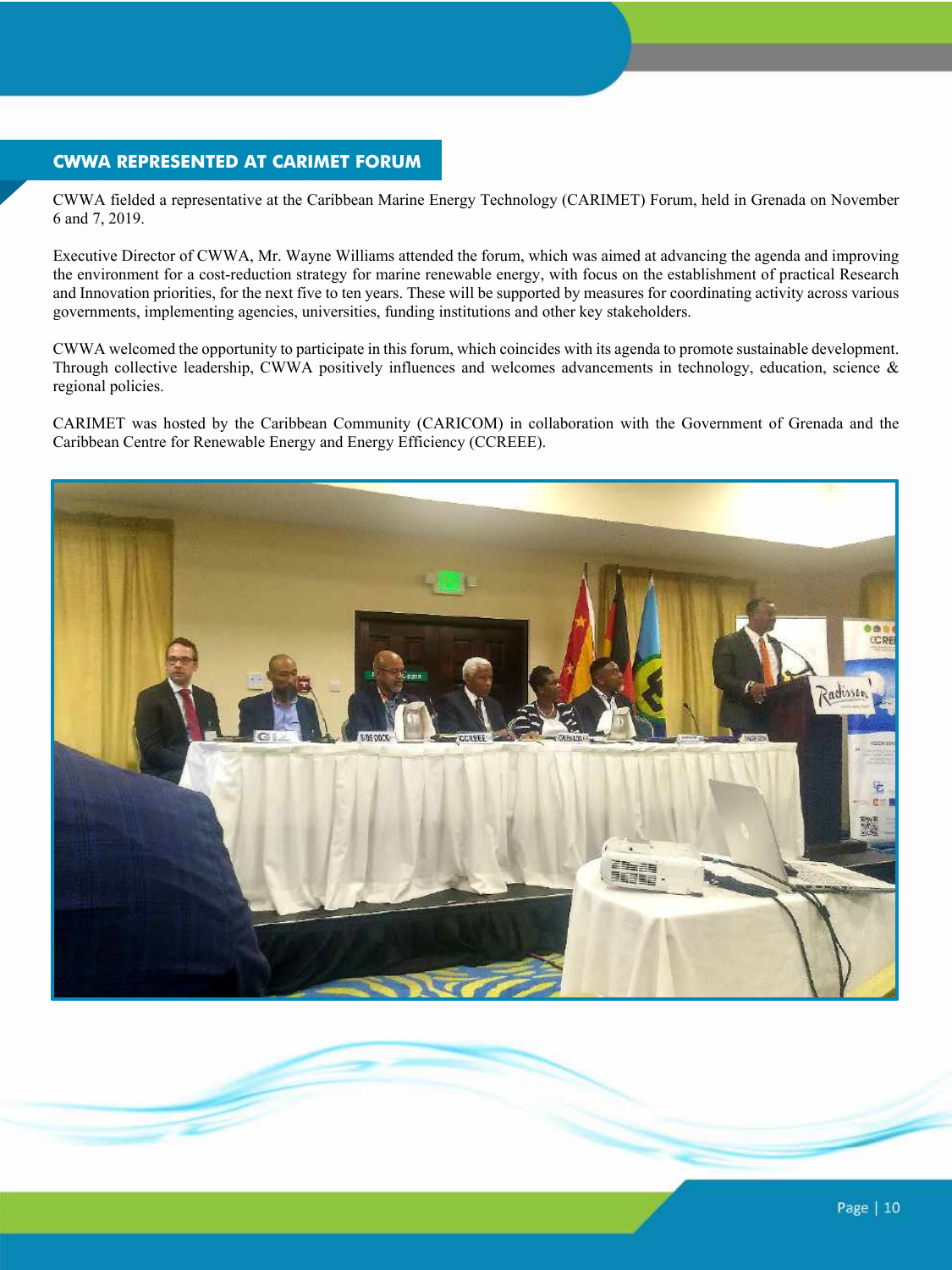### **CWWA REPRESENTED AT CARIMET FORUM**

CWWA fielded a representative at the Caribbean Marine Energy Technology (CARIMET) Forum, held in Grenada on November 6 and 7, 2019.

Executive Director of CWWA, Mr. Wayne Williams attended the forum, which was aimed at advancing the agenda and improving the environment for a cost-reduction strategy for marine renewable energy, with focus on the establishment of practical Research and Innovation priorities, for the next five to ten years. These will be supported by measures for coordinating activity across various governments, implementing agencies, universities, funding institutions and other key stakeholders.

CWWA welcomed the opportunity to participate in this forum, which coincides with its agenda to promote sustainable development. Through collective leadership, CWWA positively influences and welcomes advancements in technology, education, science & regional policies.

CARIMET was hosted by the Caribbean Community (CARICOM) in collaboration with the Government of Grenada and the Caribbean Centre for Renewable Energy and Energy Efficiency (CCREEE).

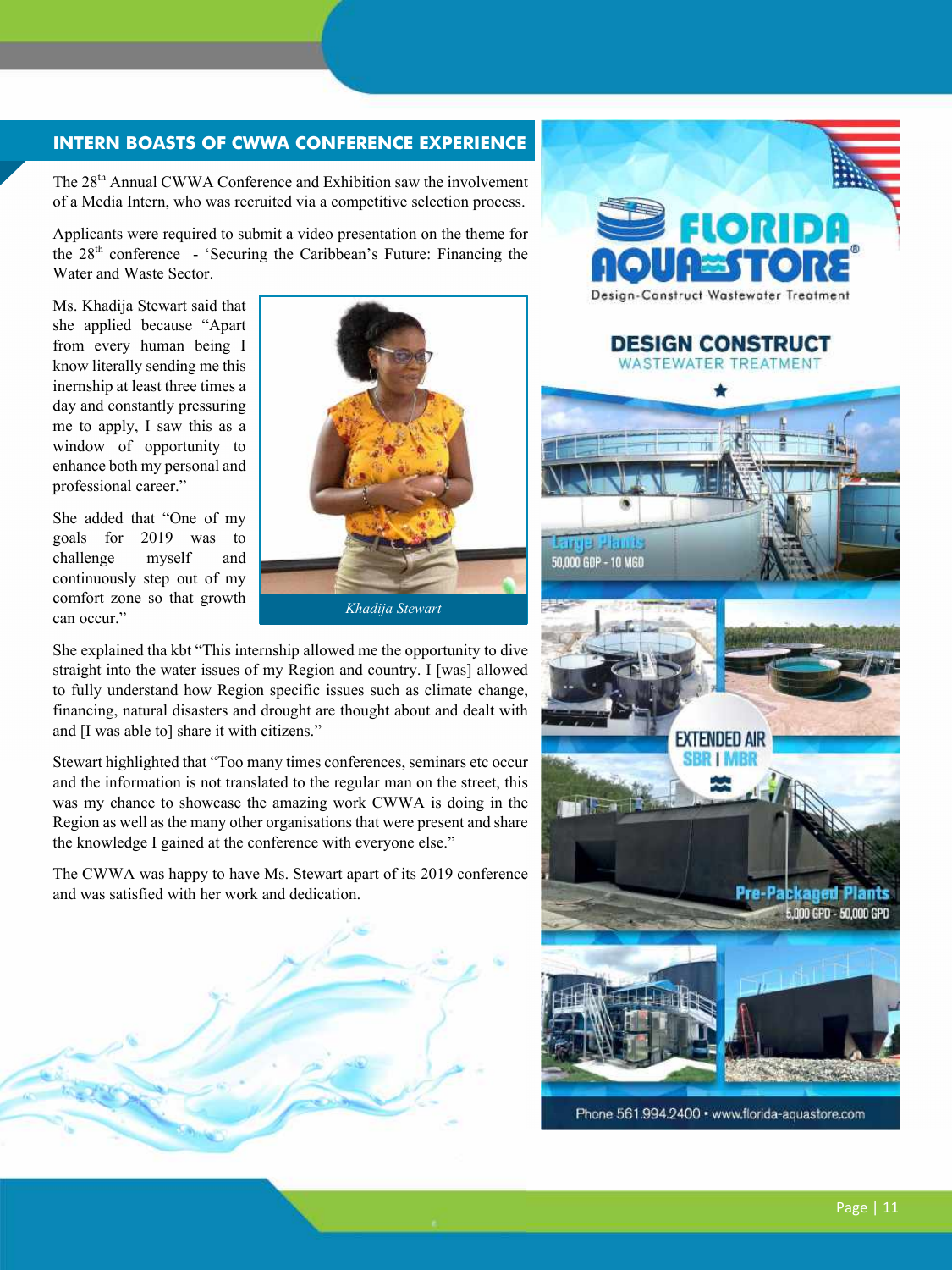### **INTERN BOASTS OF CWWA CONFERENCE EXPERIENCE**

The 28<sup>th</sup> Annual CWWA Conference and Exhibition saw the involvement of a Media Intern, who was recruited via a competitive selection process.

Applicants were required to submit a video presentation on the theme for the 28<sup>th</sup> conference - 'Securing the Caribbean's Future: Financing the Water and Waste Sector.

Ms. Khadija Stewart said that she applied because "Apart from every human being I know literally sending me this inernship at least three times a day and constantly pressuring me to apply, I saw this as a window of opportunity to enhance both my personal and professional career."

She added that "One of my goals for 2019 was to challenge myself and continuously step out of my comfort zone so that growth can occur."



She explained tha kbt "This internship allowed me the opportunity to dive straight into the water issues of my Region and country. I [was] allowed to fully understand how Region specific issues such as climate change, financing, natural disasters and drought are thought about and dealt with and [I was able to] share it with citizens."

Stewart highlighted that "Too many times conferences, seminars etc occur and the information is not translated to the regular man on the street, this was my chance to showcase the amazing work CWWA is doing in the Region as well as the many other organisations that were present and share the knowledge I gained at the conference with everyone else."

The CWWA was happy to have Ms. Stewart apart of its 2019 conference and was satisfied with her work and dedication.





#### **DESIGN CONSTRUCT** WASTEWATER TREATMENT



Phone 561.994.2400 · www.florida-aquastore.com